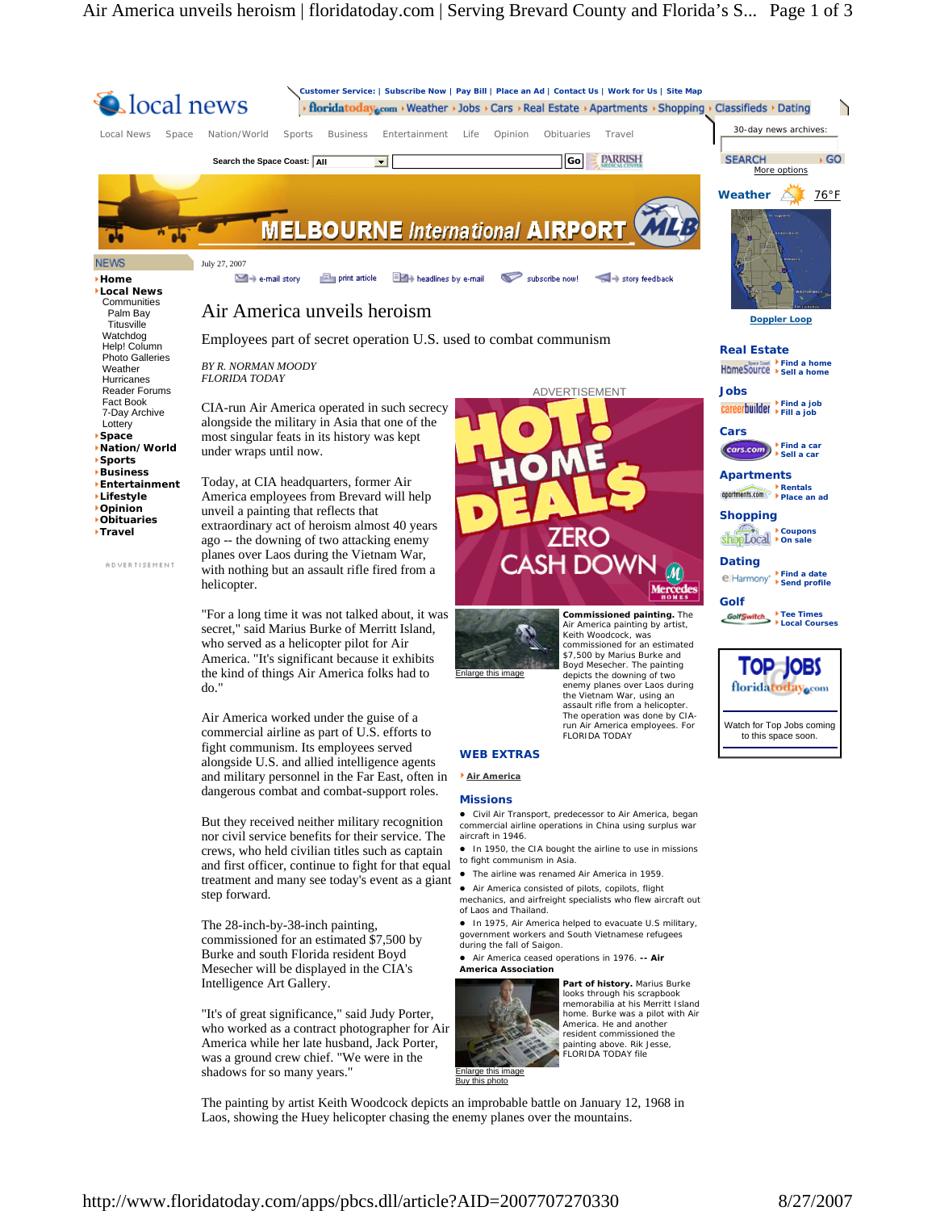

The painting by artist Keith Woodcock depicts an improbable battle on January 12, 1968 in Laos, showing the Huey helicopter chasing the enemy planes over the mountains.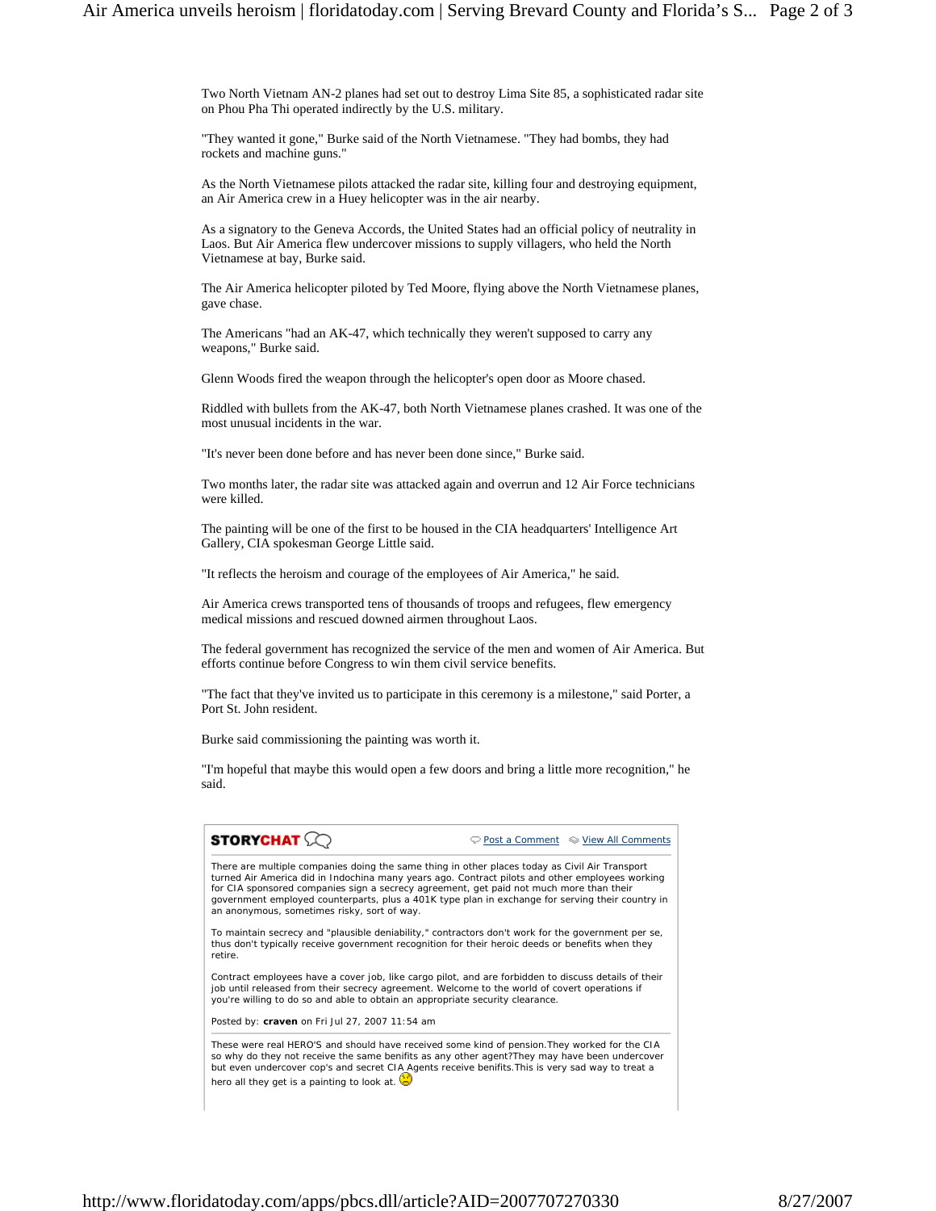Two North Vietnam AN-2 planes had set out to destroy Lima Site 85, a sophisticated radar site on Phou Pha Thi operated indirectly by the U.S. military.

"They wanted it gone," Burke said of the North Vietnamese. "They had bombs, they had rockets and machine guns."

As the North Vietnamese pilots attacked the radar site, killing four and destroying equipment, an Air America crew in a Huey helicopter was in the air nearby.

As a signatory to the Geneva Accords, the United States had an official policy of neutrality in Laos. But Air America flew undercover missions to supply villagers, who held the North Vietnamese at bay, Burke said.

The Air America helicopter piloted by Ted Moore, flying above the North Vietnamese planes, gave chase.

The Americans "had an AK-47, which technically they weren't supposed to carry any weapons," Burke said.

Glenn Woods fired the weapon through the helicopter's open door as Moore chased.

Riddled with bullets from the AK-47, both North Vietnamese planes crashed. It was one of the most unusual incidents in the war.

"It's never been done before and has never been done since," Burke said.

Two months later, the radar site was attacked again and overrun and 12 Air Force technicians were killed.

The painting will be one of the first to be housed in the CIA headquarters' Intelligence Art Gallery, CIA spokesman George Little said.

"It reflects the heroism and courage of the employees of Air America," he said.

Air America crews transported tens of thousands of troops and refugees, flew emergency medical missions and rescued downed airmen throughout Laos.

The federal government has recognized the service of the men and women of Air America. But efforts continue before Congress to win them civil service benefits.

"The fact that they've invited us to participate in this ceremony is a milestone," said Porter, a Port St. John resident.

Burke said commissioning the painting was worth it.

"I'm hopeful that maybe this would open a few doors and bring a little more recognition," he said.